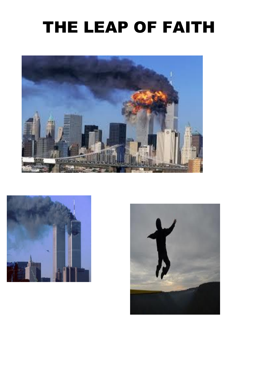## THE LEAP OF FAITH





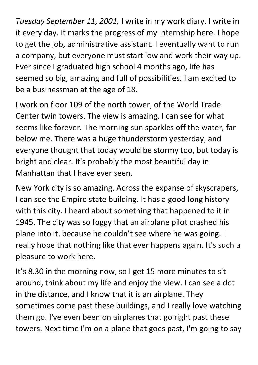*Tuesday September 11, 2001,* I write in my work diary. I write in it every day. It marks the progress of my internship here. I hope to get the job, administrative assistant. I eventually want to run a company, but everyone must start low and work their way up. Ever since I graduated high school 4 months ago, life has seemed so big, amazing and full of possibilities. I am excited to be a businessman at the age of 18.

I work on floor 109 of the north tower, of the World Trade Center twin towers. The view is amazing. I can see for what seems like forever. The morning sun sparkles off the water, far below me. There was a huge thunderstorm yesterday, and everyone thought that today would be stormy too, but today is bright and clear. It's probably the most beautiful day in Manhattan that I have ever seen.

New York city is so amazing. Across the expanse of skyscrapers, I can see the Empire state building. It has a good long history with this city. I heard about something that happened to it in 1945. The city was so foggy that an airplane pilot crashed his plane into it, because he couldn't see where he was going. I really hope that nothing like that ever happens again. It's such a pleasure to work here.

It's 8.30 in the morning now, so I get 15 more minutes to sit around, think about my life and enjoy the view. I can see a dot in the distance, and I know that it is an airplane. They sometimes come past these buildings, and I really love watching them go. I've even been on airplanes that go right past these towers. Next time I'm on a plane that goes past, I'm going to say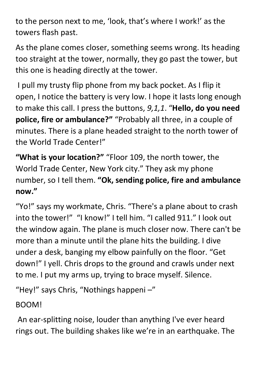to the person next to me, 'look, that's where I work!' as the towers flash past.

As the plane comes closer, something seems wrong. Its heading too straight at the tower, normally, they go past the tower, but this one is heading directly at the tower.

I pull my trusty flip phone from my back pocket. As I flip it open, I notice the battery is very low. I hope it lasts long enough to make this call. I press the buttons, *9,1,1*. "**Hello, do you need police, fire or ambulance?"** "Probably all three, in a couple of minutes. There is a plane headed straight to the north tower of the World Trade Center!"

**"What is your location?"** "Floor 109, the north tower, the World Trade Center, New York city." They ask my phone number, so I tell them. **"Ok, sending police, fire and ambulance now."**

"Yo!" says my workmate, Chris. "There's a plane about to crash into the tower!" "I know!" I tell him. "I called 911." I look out the window again. The plane is much closer now. There can't be more than a minute until the plane hits the building. I dive under a desk, banging my elbow painfully on the floor. "Get down!" I yell. Chris drops to the ground and crawls under next to me. I put my arms up, trying to brace myself. Silence.

"Hey!" says Chris, "Nothings happeni –"

BOOM!

An ear-splitting noise, louder than anything I've ever heard rings out. The building shakes like we're in an earthquake. The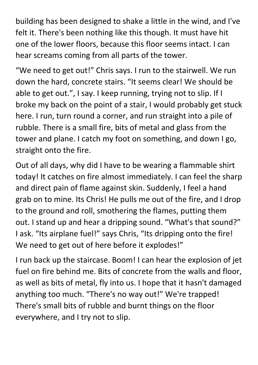building has been designed to shake a little in the wind, and I've felt it. There's been nothing like this though. It must have hit one of the lower floors, because this floor seems intact. I can hear screams coming from all parts of the tower.

"We need to get out!" Chris says. I run to the stairwell. We run down the hard, concrete stairs. "It seems clear! We should be able to get out.", I say. I keep running, trying not to slip. If I broke my back on the point of a stair, I would probably get stuck here. I run, turn round a corner, and run straight into a pile of rubble. There is a small fire, bits of metal and glass from the tower and plane. I catch my foot on something, and down I go, straight onto the fire.

Out of all days, why did I have to be wearing a flammable shirt today! It catches on fire almost immediately. I can feel the sharp and direct pain of flame against skin. Suddenly, I feel a hand grab on to mine. Its Chris! He pulls me out of the fire, and I drop to the ground and roll, smothering the flames, putting them out. I stand up and hear a dripping sound. "What's that sound?" I ask. "Its airplane fuel!" says Chris, "Its dripping onto the fire! We need to get out of here before it explodes!"

I run back up the staircase. Boom! I can hear the explosion of jet fuel on fire behind me. Bits of concrete from the walls and floor, as well as bits of metal, fly into us. I hope that it hasn't damaged anything too much. "There's no way out!" We're trapped! There's small bits of rubble and burnt things on the floor everywhere, and I try not to slip.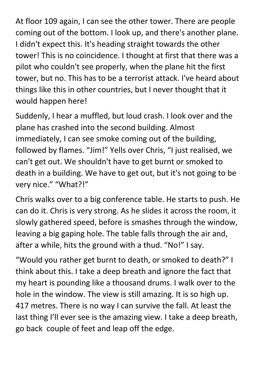At floor 109 again, I can see the other tower. There are people coming out of the bottom. I look up, and there's another plane. I didn't expect this. It's heading straight towards the other tower! This is no coincidence. I thought at first that there was a pilot who couldn't see properly, when the plane hit the first tower, but no. This has to be a terrorist attack. I've heard about things like this in other countries, but I never thought that it would happen here!

Suddenly, I hear a muffled, but loud crash. I look over and the plane has crashed into the second building. Almost immediately, I can see smoke coming out of the building, followed by flames. "Jim!" Yells over Chris, "I just realised, we can't get out. We shouldn't have to get burnt or smoked to death in a building. We have to get out, but it's not going to be very nice." "What?!"

Chris walks over to a big conference table. He starts to push. He can do it. Chris is very strong. As he slides it across the room, it slowly gathered speed, before is smashes through the window, leaving a big gaping hole. The table falls through the air and, after a while, hits the ground with a thud. "No!" I say.

"Would you rather get burnt to death, or smoked to death?" I think about this. I take a deep breath and ignore the fact that my heart is pounding like a thousand drums. I walk over to the hole in the window. The view is still amazing. It is so high up. 417 metres. There is no way I can survive the fall. At least the last thing I'll ever see is the amazing view. I take a deep breath, go back couple of feet and leap off the edge.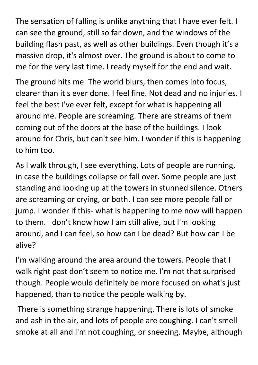The sensation of falling is unlike anything that I have ever felt. I can see the ground, still so far down, and the windows of the building flash past, as well as other buildings. Even though it's a massive drop, it's almost over. The ground is about to come to me for the very last time. I ready myself for the end and wait.

The ground hits me. The world blurs, then comes into focus, clearer than it's ever done. I feel fine. Not dead and no injuries. I feel the best I've ever felt, except for what is happening all around me. People are screaming. There are streams of them coming out of the doors at the base of the buildings. I look around for Chris, but can't see him. I wonder if this is happening to him too.

As I walk through, I see everything. Lots of people are running, in case the buildings collapse or fall over. Some people are just standing and looking up at the towers in stunned silence. Others are screaming or crying, or both. I can see more people fall or jump. I wonder if this- what is happening to me now will happen to them. I don't know how I am still alive, but I'm looking around, and I can feel, so how can I be dead? But how can I be alive?

I'm walking around the area around the towers. People that I walk right past don't seem to notice me. I'm not that surprised though. People would definitely be more focused on what's just happened, than to notice the people walking by.

There is something strange happening. There is lots of smoke and ash in the air, and lots of people are coughing. I can't smell smoke at all and I'm not coughing, or sneezing. Maybe, although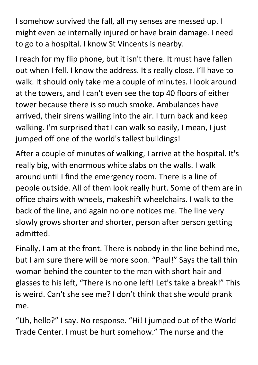I somehow survived the fall, all my senses are messed up. I might even be internally injured or have brain damage. I need to go to a hospital. I know St Vincents is nearby.

I reach for my flip phone, but it isn't there. It must have fallen out when I fell. I know the address. It's really close. I'll have to walk. It should only take me a couple of minutes. I look around at the towers, and I can't even see the top 40 floors of either tower because there is so much smoke. Ambulances have arrived, their sirens wailing into the air. I turn back and keep walking. I'm surprised that I can walk so easily, I mean, I just jumped off one of the world's tallest buildings!

After a couple of minutes of walking, I arrive at the hospital. It's really big, with enormous white slabs on the walls. I walk around until I find the emergency room. There is a line of people outside. All of them look really hurt. Some of them are in office chairs with wheels, makeshift wheelchairs. I walk to the back of the line, and again no one notices me. The line very slowly grows shorter and shorter, person after person getting admitted.

Finally, I am at the front. There is nobody in the line behind me, but I am sure there will be more soon. "Paul!" Says the tall thin woman behind the counter to the man with short hair and glasses to his left, "There is no one left! Let's take a break!" This is weird. Can't she see me? I don't think that she would prank me.

"Uh, hello?" I say. No response. "Hi! I jumped out of the World Trade Center. I must be hurt somehow." The nurse and the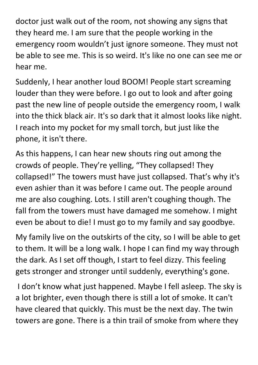doctor just walk out of the room, not showing any signs that they heard me. I am sure that the people working in the emergency room wouldn't just ignore someone. They must not be able to see me. This is so weird. It's like no one can see me or hear me.

Suddenly, I hear another loud BOOM! People start screaming louder than they were before. I go out to look and after going past the new line of people outside the emergency room, I walk into the thick black air. It's so dark that it almost looks like night. I reach into my pocket for my small torch, but just like the phone, it isn't there.

As this happens, I can hear new shouts ring out among the crowds of people. They're yelling, "They collapsed! They collapsed!" The towers must have just collapsed. That's why it's even ashier than it was before I came out. The people around me are also coughing. Lots. I still aren't coughing though. The fall from the towers must have damaged me somehow. I might even be about to die! I must go to my family and say goodbye.

My family live on the outskirts of the city, so I will be able to get to them. It will be a long walk. I hope I can find my way through the dark. As I set off though, I start to feel dizzy. This feeling gets stronger and stronger until suddenly, everything's gone.

I don't know what just happened. Maybe I fell asleep. The sky is a lot brighter, even though there is still a lot of smoke. It can't have cleared that quickly. This must be the next day. The twin towers are gone. There is a thin trail of smoke from where they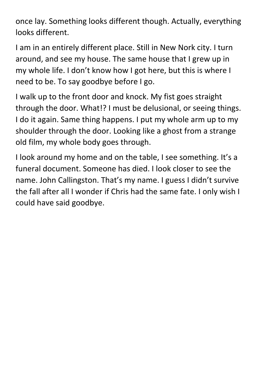once lay. Something looks different though. Actually, everything looks different.

I am in an entirely different place. Still in New Nork city. I turn around, and see my house. The same house that I grew up in my whole life. I don't know how I got here, but this is where I need to be. To say goodbye before I go.

I walk up to the front door and knock. My fist goes straight through the door. What!? I must be delusional, or seeing things. I do it again. Same thing happens. I put my whole arm up to my shoulder through the door. Looking like a ghost from a strange old film, my whole body goes through.

I look around my home and on the table, I see something. It's a funeral document. Someone has died. I look closer to see the name. John Callingston. That's my name. I guess I didn't survive the fall after all I wonder if Chris had the same fate. I only wish I could have said goodbye.